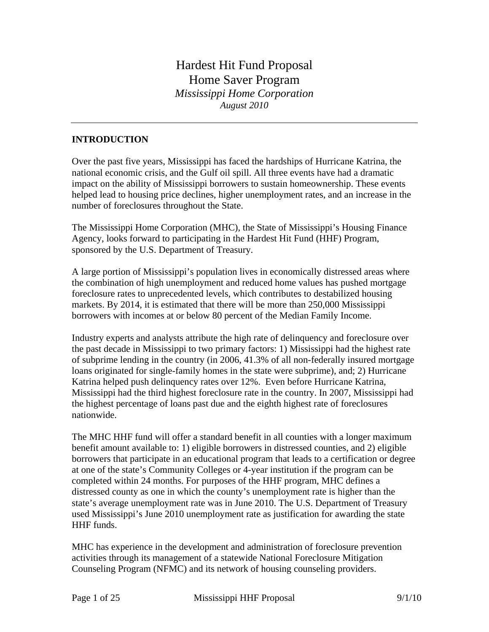# Hardest Hit Fund Proposal Home Saver Program *Mississippi Home Corporation August 2010*

## **INTRODUCTION**

Over the past five years, Mississippi has faced the hardships of Hurricane Katrina, the national economic crisis, and the Gulf oil spill. All three events have had a dramatic impact on the ability of Mississippi borrowers to sustain homeownership. These events helped lead to housing price declines, higher unemployment rates, and an increase in the number of foreclosures throughout the State.

The Mississippi Home Corporation (MHC), the State of Mississippi's Housing Finance Agency, looks forward to participating in the Hardest Hit Fund (HHF) Program, sponsored by the U.S. Department of Treasury.

A large portion of Mississippi's population lives in economically distressed areas where the combination of high unemployment and reduced home values has pushed mortgage foreclosure rates to unprecedented levels, which contributes to destabilized housing markets. By 2014, it is estimated that there will be more than 250,000 Mississippi borrowers with incomes at or below 80 percent of the Median Family Income.

Industry experts and analysts attribute the high rate of delinquency and foreclosure over the past decade in Mississippi to two primary factors: 1) Mississippi had the highest rate of subprime lending in the country (in 2006, 41.3% of all non-federally insured mortgage loans originated for single-family homes in the state were subprime), and; 2) Hurricane Katrina helped push delinquency rates over 12%. Even before Hurricane Katrina, Mississippi had the third highest foreclosure rate in the country. In 2007, Mississippi had the highest percentage of loans past due and the eighth highest rate of foreclosures nationwide.

The MHC HHF fund will offer a standard benefit in all counties with a longer maximum benefit amount available to: 1) eligible borrowers in distressed counties, and 2) eligible borrowers that participate in an educational program that leads to a certification or degree at one of the state's Community Colleges or 4-year institution if the program can be completed within 24 months. For purposes of the HHF program, MHC defines a distressed county as one in which the county's unemployment rate is higher than the state's average unemployment rate was in June 2010. The U.S. Department of Treasury used Mississippi's June 2010 unemployment rate as justification for awarding the state HHF funds.

MHC has experience in the development and administration of foreclosure prevention activities through its management of a statewide National Foreclosure Mitigation Counseling Program (NFMC) and its network of housing counseling providers.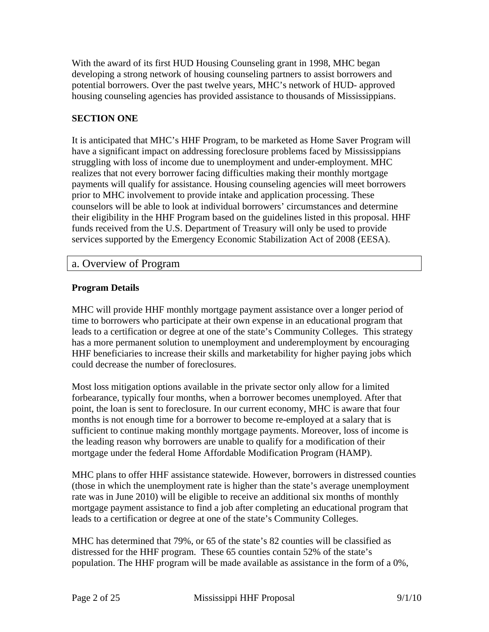With the award of its first HUD Housing Counseling grant in 1998, MHC began developing a strong network of housing counseling partners to assist borrowers and potential borrowers. Over the past twelve years, MHC's network of HUD- approved housing counseling agencies has provided assistance to thousands of Mississippians.

## **SECTION ONE**

It is anticipated that MHC's HHF Program, to be marketed as Home Saver Program will have a significant impact on addressing foreclosure problems faced by Mississippians struggling with loss of income due to unemployment and under-employment. MHC realizes that not every borrower facing difficulties making their monthly mortgage payments will qualify for assistance. Housing counseling agencies will meet borrowers prior to MHC involvement to provide intake and application processing. These counselors will be able to look at individual borrowers' circumstances and determine their eligibility in the HHF Program based on the guidelines listed in this proposal. HHF funds received from the U.S. Department of Treasury will only be used to provide services supported by the Emergency Economic Stabilization Act of 2008 (EESA).

## a. Overview of Program

#### **Program Details**

MHC will provide HHF monthly mortgage payment assistance over a longer period of time to borrowers who participate at their own expense in an educational program that leads to a certification or degree at one of the state's Community Colleges. This strategy has a more permanent solution to unemployment and underemployment by encouraging HHF beneficiaries to increase their skills and marketability for higher paying jobs which could decrease the number of foreclosures.

Most loss mitigation options available in the private sector only allow for a limited forbearance, typically four months, when a borrower becomes unemployed. After that point, the loan is sent to foreclosure. In our current economy, MHC is aware that four months is not enough time for a borrower to become re-employed at a salary that is sufficient to continue making monthly mortgage payments. Moreover, loss of income is the leading reason why borrowers are unable to qualify for a modification of their mortgage under the federal Home Affordable Modification Program (HAMP).

MHC plans to offer HHF assistance statewide. However, borrowers in distressed counties (those in which the unemployment rate is higher than the state's average unemployment rate was in June 2010) will be eligible to receive an additional six months of monthly mortgage payment assistance to find a job after completing an educational program that leads to a certification or degree at one of the state's Community Colleges.

MHC has determined that 79%, or 65 of the state's 82 counties will be classified as distressed for the HHF program. These 65 counties contain 52% of the state's population. The HHF program will be made available as assistance in the form of a 0%,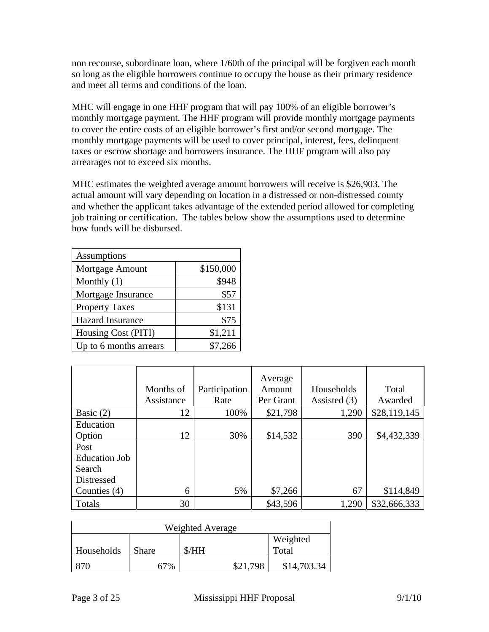non recourse, subordinate loan, where 1/60th of the principal will be forgiven each month so long as the eligible borrowers continue to occupy the house as their primary residence and meet all terms and conditions of the loan.

MHC will engage in one HHF program that will pay 100% of an eligible borrower's monthly mortgage payment. The HHF program will provide monthly mortgage payments to cover the entire costs of an eligible borrower's first and/or second mortgage. The monthly mortgage payments will be used to cover principal, interest, fees, delinquent taxes or escrow shortage and borrowers insurance. The HHF program will also pay arrearages not to exceed six months.

MHC estimates the weighted average amount borrowers will receive is \$26,903. The actual amount will vary depending on location in a distressed or non-distressed county and whether the applicant takes advantage of the extended period allowed for completing job training or certification. The tables below show the assumptions used to determine how funds will be disbursed.

| Assumptions             |           |  |  |  |
|-------------------------|-----------|--|--|--|
| Mortgage Amount         | \$150,000 |  |  |  |
| Monthly $(1)$           | \$948     |  |  |  |
| Mortgage Insurance      | \$57      |  |  |  |
| <b>Property Taxes</b>   | \$131     |  |  |  |
| <b>Hazard Insurance</b> | \$75      |  |  |  |
| Housing Cost (PITI)     | \$1,211   |  |  |  |
| Up to 6 months arrears  | \$7,266   |  |  |  |

|                      | Months of<br>Assistance | Participation<br>Rate | Average<br>Amount<br>Per Grant | Households<br>Assisted (3) | Total<br>Awarded |
|----------------------|-------------------------|-----------------------|--------------------------------|----------------------------|------------------|
| Basic $(2)$          | 12                      | 100%                  | \$21,798                       | 1,290                      | \$28,119,145     |
| Education            |                         |                       |                                |                            |                  |
| Option               | 12                      | 30%                   | \$14,532                       | 390                        | \$4,432,339      |
| Post                 |                         |                       |                                |                            |                  |
| <b>Education Job</b> |                         |                       |                                |                            |                  |
| Search               |                         |                       |                                |                            |                  |
| Distressed           |                         |                       |                                |                            |                  |
| Counties $(4)$       | 6                       | 5%                    | \$7,266                        | 67                         | \$114,849        |
| Totals               | 30                      |                       | \$43,596                       | 1,290                      | \$32,666,333     |

| Weighted Average |       |          |             |  |
|------------------|-------|----------|-------------|--|
|                  |       |          | Weighted    |  |
| Households       | Share | \$/HH    | Total       |  |
|                  | 67%   | \$21.798 | \$14,703.34 |  |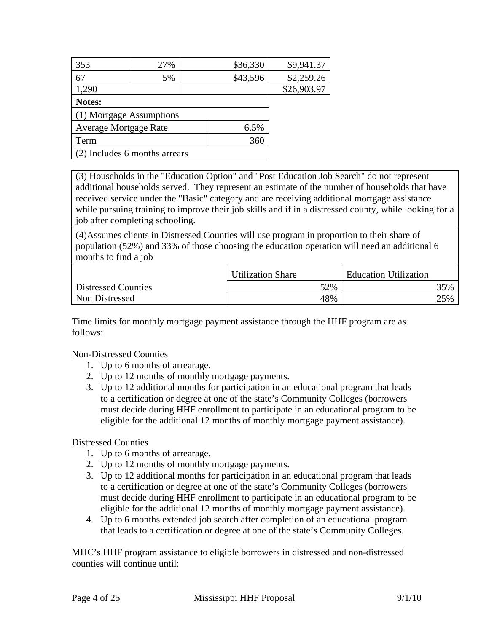| 27%                      | \$36,330 | \$9,941.37                    |
|--------------------------|----------|-------------------------------|
| 5%                       | \$43,596 | \$2,259.26                    |
|                          |          | \$26,903.97                   |
|                          |          |                               |
| (1) Mortgage Assumptions |          |                               |
| Average Mortgage Rate    | 6.5%     |                               |
|                          | 360      |                               |
|                          |          |                               |
|                          |          | (2) Includes 6 months arrears |

(3) Households in the "Education Option" and "Post Education Job Search" do not represent additional households served. They represent an estimate of the number of households that have received service under the "Basic" category and are receiving additional mortgage assistance while pursuing training to improve their job skills and if in a distressed county, while looking for a job after completing schooling.

(4)Assumes clients in Distressed Counties will use program in proportion to their share of population (52%) and 33% of those choosing the education operation will need an additional 6 months to find a job

|                     | <b>Utilization Share</b> | <b>Education Utilization</b> |
|---------------------|--------------------------|------------------------------|
| Distressed Counties | 52%                      | 35%                          |
| Non Distressed      | 48%                      | 25%                          |

Time limits for monthly mortgage payment assistance through the HHF program are as follows:

#### Non-Distressed Counties

- 1. Up to 6 months of arrearage.
- 2. Up to 12 months of monthly mortgage payments.
- 3. Up to 12 additional months for participation in an educational program that leads to a certification or degree at one of the state's Community Colleges (borrowers must decide during HHF enrollment to participate in an educational program to be eligible for the additional 12 months of monthly mortgage payment assistance).

### Distressed Counties

- 1. Up to 6 months of arrearage.
- 2. Up to 12 months of monthly mortgage payments.
- 3. Up to 12 additional months for participation in an educational program that leads to a certification or degree at one of the state's Community Colleges (borrowers must decide during HHF enrollment to participate in an educational program to be eligible for the additional 12 months of monthly mortgage payment assistance).
- 4. Up to 6 months extended job search after completion of an educational program that leads to a certification or degree at one of the state's Community Colleges.

MHC's HHF program assistance to eligible borrowers in distressed and non-distressed counties will continue until: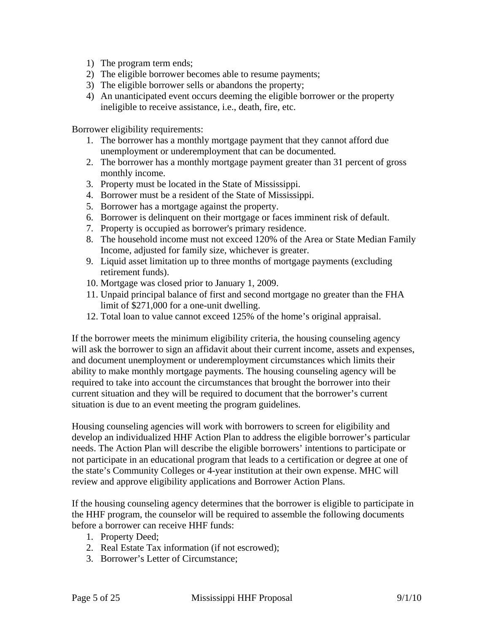- 1) The program term ends;
- 2) The eligible borrower becomes able to resume payments;
- 3) The eligible borrower sells or abandons the property;
- 4) An unanticipated event occurs deeming the eligible borrower or the property ineligible to receive assistance, i.e., death, fire, etc.

Borrower eligibility requirements:

- 1. The borrower has a monthly mortgage payment that they cannot afford due unemployment or underemployment that can be documented.
- 2. The borrower has a monthly mortgage payment greater than 31 percent of gross monthly income.
- 3. Property must be located in the State of Mississippi.
- 4. Borrower must be a resident of the State of Mississippi.
- 5. Borrower has a mortgage against the property.
- 6. Borrower is delinquent on their mortgage or faces imminent risk of default.
- 7. Property is occupied as borrower's primary residence.
- 8. The household income must not exceed 120% of the Area or State Median Family Income, adjusted for family size, whichever is greater.
- 9. Liquid asset limitation up to three months of mortgage payments (excluding retirement funds).
- 10. Mortgage was closed prior to January 1, 2009.
- 11. Unpaid principal balance of first and second mortgage no greater than the FHA limit of \$271,000 for a one-unit dwelling.
- 12. Total loan to value cannot exceed 125% of the home's original appraisal.

If the borrower meets the minimum eligibility criteria, the housing counseling agency will ask the borrower to sign an affidavit about their current income, assets and expenses, and document unemployment or underemployment circumstances which limits their ability to make monthly mortgage payments. The housing counseling agency will be required to take into account the circumstances that brought the borrower into their current situation and they will be required to document that the borrower's current situation is due to an event meeting the program guidelines.

Housing counseling agencies will work with borrowers to screen for eligibility and develop an individualized HHF Action Plan to address the eligible borrower's particular needs. The Action Plan will describe the eligible borrowers' intentions to participate or not participate in an educational program that leads to a certification or degree at one of the state's Community Colleges or 4-year institution at their own expense. MHC will review and approve eligibility applications and Borrower Action Plans.

If the housing counseling agency determines that the borrower is eligible to participate in the HHF program, the counselor will be required to assemble the following documents before a borrower can receive HHF funds:

- 1. Property Deed;
- 2. Real Estate Tax information (if not escrowed);
- 3. Borrower's Letter of Circumstance;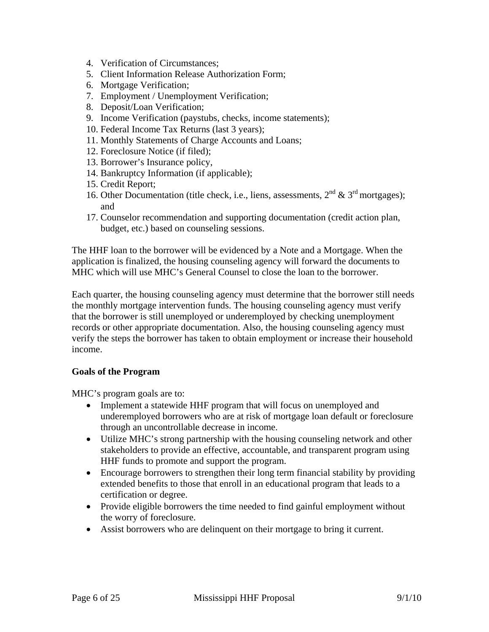- 4. Verification of Circumstances;
- 5. Client Information Release Authorization Form;
- 6. Mortgage Verification;
- 7. Employment / Unemployment Verification;
- 8. Deposit/Loan Verification;
- 9. Income Verification (paystubs, checks, income statements);
- 10. Federal Income Tax Returns (last 3 years);
- 11. Monthly Statements of Charge Accounts and Loans;
- 12. Foreclosure Notice (if filed);
- 13. Borrower's Insurance policy,
- 14. Bankruptcy Information (if applicable);
- 15. Credit Report;
- 16. Other Documentation (title check, i.e., liens, assessments,  $2<sup>nd</sup> \& 3<sup>rd</sup> mortgages)$ ; and
- 17. Counselor recommendation and supporting documentation (credit action plan, budget, etc.) based on counseling sessions.

The HHF loan to the borrower will be evidenced by a Note and a Mortgage. When the application is finalized, the housing counseling agency will forward the documents to MHC which will use MHC's General Counsel to close the loan to the borrower.

Each quarter, the housing counseling agency must determine that the borrower still needs the monthly mortgage intervention funds. The housing counseling agency must verify that the borrower is still unemployed or underemployed by checking unemployment records or other appropriate documentation. Also, the housing counseling agency must verify the steps the borrower has taken to obtain employment or increase their household income.

#### **Goals of the Program**

MHC's program goals are to:

- Implement a statewide HHF program that will focus on unemployed and underemployed borrowers who are at risk of mortgage loan default or foreclosure through an uncontrollable decrease in income.
- Utilize MHC's strong partnership with the housing counseling network and other stakeholders to provide an effective, accountable, and transparent program using HHF funds to promote and support the program.
- Encourage borrowers to strengthen their long term financial stability by providing extended benefits to those that enroll in an educational program that leads to a certification or degree.
- Provide eligible borrowers the time needed to find gainful employment without the worry of foreclosure.
- Assist borrowers who are delinquent on their mortgage to bring it current.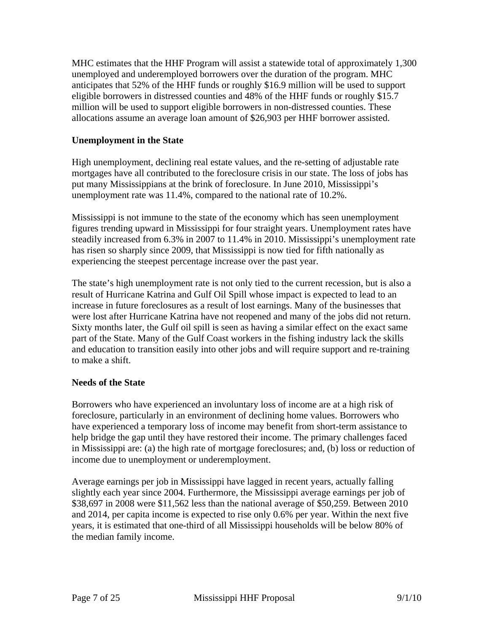MHC estimates that the HHF Program will assist a statewide total of approximately 1,300 unemployed and underemployed borrowers over the duration of the program. MHC anticipates that 52% of the HHF funds or roughly \$16.9 million will be used to support eligible borrowers in distressed counties and 48% of the HHF funds or roughly \$15.7 million will be used to support eligible borrowers in non-distressed counties. These allocations assume an average loan amount of \$26,903 per HHF borrower assisted.

## **Unemployment in the State**

High unemployment, declining real estate values, and the re-setting of adjustable rate mortgages have all contributed to the foreclosure crisis in our state. The loss of jobs has put many Mississippians at the brink of foreclosure. In June 2010, Mississippi's unemployment rate was 11.4%, compared to the national rate of 10.2%.

Mississippi is not immune to the state of the economy which has seen unemployment figures trending upward in Mississippi for four straight years. Unemployment rates have steadily increased from 6.3% in 2007 to 11.4% in 2010. Mississippi's unemployment rate has risen so sharply since 2009, that Mississippi is now tied for fifth nationally as experiencing the steepest percentage increase over the past year.

The state's high unemployment rate is not only tied to the current recession, but is also a result of Hurricane Katrina and Gulf Oil Spill whose impact is expected to lead to an increase in future foreclosures as a result of lost earnings. Many of the businesses that were lost after Hurricane Katrina have not reopened and many of the jobs did not return. Sixty months later, the Gulf oil spill is seen as having a similar effect on the exact same part of the State. Many of the Gulf Coast workers in the fishing industry lack the skills and education to transition easily into other jobs and will require support and re-training to make a shift.

### **Needs of the State**

Borrowers who have experienced an involuntary loss of income are at a high risk of foreclosure, particularly in an environment of declining home values. Borrowers who have experienced a temporary loss of income may benefit from short-term assistance to help bridge the gap until they have restored their income. The primary challenges faced in Mississippi are: (a) the high rate of mortgage foreclosures; and, (b) loss or reduction of income due to unemployment or underemployment.

Average earnings per job in Mississippi have lagged in recent years, actually falling slightly each year since 2004. Furthermore, the Mississippi average earnings per job of \$38,697 in 2008 were \$11,562 less than the national average of \$50,259. Between 2010 and 2014, per capita income is expected to rise only 0.6% per year. Within the next five years, it is estimated that one-third of all Mississippi households will be below 80% of the median family income.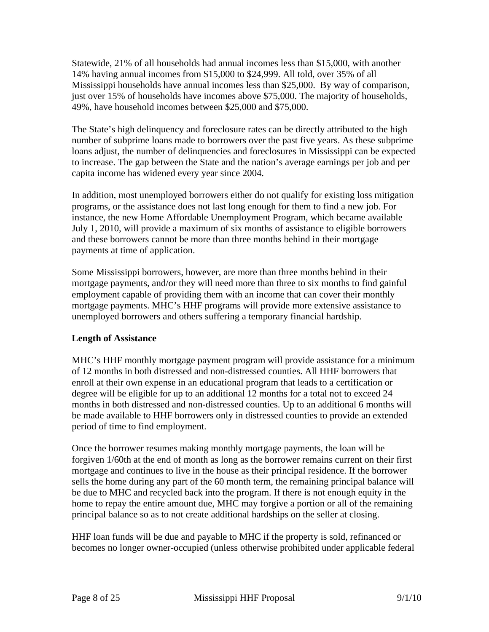Statewide, 21% of all households had annual incomes less than \$15,000, with another 14% having annual incomes from \$15,000 to \$24,999. All told, over 35% of all Mississippi households have annual incomes less than \$25,000. By way of comparison, just over 15% of households have incomes above \$75,000. The majority of households, 49%, have household incomes between \$25,000 and \$75,000.

The State's high delinquency and foreclosure rates can be directly attributed to the high number of subprime loans made to borrowers over the past five years. As these subprime loans adjust, the number of delinquencies and foreclosures in Mississippi can be expected to increase. The gap between the State and the nation's average earnings per job and per capita income has widened every year since 2004.

In addition, most unemployed borrowers either do not qualify for existing loss mitigation programs, or the assistance does not last long enough for them to find a new job. For instance, the new Home Affordable Unemployment Program, which became available July 1, 2010, will provide a maximum of six months of assistance to eligible borrowers and these borrowers cannot be more than three months behind in their mortgage payments at time of application.

Some Mississippi borrowers, however, are more than three months behind in their mortgage payments, and/or they will need more than three to six months to find gainful employment capable of providing them with an income that can cover their monthly mortgage payments. MHC's HHF programs will provide more extensive assistance to unemployed borrowers and others suffering a temporary financial hardship.

### **Length of Assistance**

MHC's HHF monthly mortgage payment program will provide assistance for a minimum of 12 months in both distressed and non-distressed counties. All HHF borrowers that enroll at their own expense in an educational program that leads to a certification or degree will be eligible for up to an additional 12 months for a total not to exceed 24 months in both distressed and non-distressed counties. Up to an additional 6 months will be made available to HHF borrowers only in distressed counties to provide an extended period of time to find employment.

Once the borrower resumes making monthly mortgage payments, the loan will be forgiven 1/60th at the end of month as long as the borrower remains current on their first mortgage and continues to live in the house as their principal residence. If the borrower sells the home during any part of the 60 month term, the remaining principal balance will be due to MHC and recycled back into the program. If there is not enough equity in the home to repay the entire amount due, MHC may forgive a portion or all of the remaining principal balance so as to not create additional hardships on the seller at closing.

HHF loan funds will be due and payable to MHC if the property is sold, refinanced or becomes no longer owner-occupied (unless otherwise prohibited under applicable federal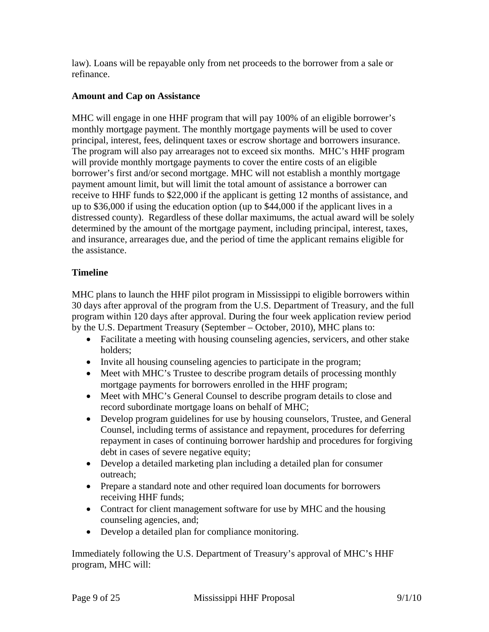law). Loans will be repayable only from net proceeds to the borrower from a sale or refinance.

### **Amount and Cap on Assistance**

MHC will engage in one HHF program that will pay 100% of an eligible borrower's monthly mortgage payment. The monthly mortgage payments will be used to cover principal, interest, fees, delinquent taxes or escrow shortage and borrowers insurance. The program will also pay arrearages not to exceed six months. MHC's HHF program will provide monthly mortgage payments to cover the entire costs of an eligible borrower's first and/or second mortgage. MHC will not establish a monthly mortgage payment amount limit, but will limit the total amount of assistance a borrower can receive to HHF funds to \$22,000 if the applicant is getting 12 months of assistance, and up to \$36,000 if using the education option (up to \$44,000 if the applicant lives in a distressed county). Regardless of these dollar maximums, the actual award will be solely determined by the amount of the mortgage payment, including principal, interest, taxes, and insurance, arrearages due, and the period of time the applicant remains eligible for the assistance.

### **Timeline**

MHC plans to launch the HHF pilot program in Mississippi to eligible borrowers within 30 days after approval of the program from the U.S. Department of Treasury, and the full program within 120 days after approval. During the four week application review period by the U.S. Department Treasury (September – October, 2010), MHC plans to:

- Facilitate a meeting with housing counseling agencies, servicers, and other stake holders;
- Invite all housing counseling agencies to participate in the program;
- Meet with MHC's Trustee to describe program details of processing monthly mortgage payments for borrowers enrolled in the HHF program;
- Meet with MHC's General Counsel to describe program details to close and record subordinate mortgage loans on behalf of MHC;
- Develop program guidelines for use by housing counselors, Trustee, and General Counsel, including terms of assistance and repayment, procedures for deferring repayment in cases of continuing borrower hardship and procedures for forgiving debt in cases of severe negative equity;
- Develop a detailed marketing plan including a detailed plan for consumer outreach;
- Prepare a standard note and other required loan documents for borrowers receiving HHF funds;
- Contract for client management software for use by MHC and the housing counseling agencies, and;
- Develop a detailed plan for compliance monitoring.

Immediately following the U.S. Department of Treasury's approval of MHC's HHF program, MHC will: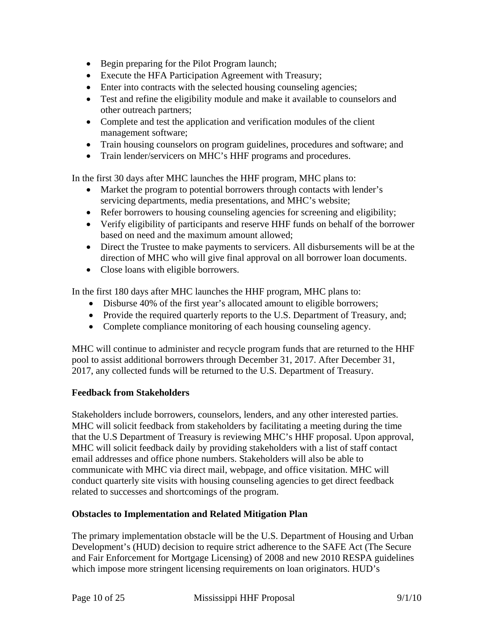- Begin preparing for the Pilot Program launch;
- Execute the HFA Participation Agreement with Treasury;
- Enter into contracts with the selected housing counseling agencies;
- Test and refine the eligibility module and make it available to counselors and other outreach partners;
- Complete and test the application and verification modules of the client management software;
- Train housing counselors on program guidelines, procedures and software; and
- Train lender/servicers on MHC's HHF programs and procedures.

In the first 30 days after MHC launches the HHF program, MHC plans to:

- Market the program to potential borrowers through contacts with lender's servicing departments, media presentations, and MHC's website;
- Refer borrowers to housing counseling agencies for screening and eligibility;
- Verify eligibility of participants and reserve HHF funds on behalf of the borrower based on need and the maximum amount allowed;
- Direct the Trustee to make payments to servicers. All disbursements will be at the direction of MHC who will give final approval on all borrower loan documents.
- Close loans with eligible borrowers.

In the first 180 days after MHC launches the HHF program, MHC plans to:

- Disburse 40% of the first year's allocated amount to eligible borrowers;
- Provide the required quarterly reports to the U.S. Department of Treasury, and;
- Complete compliance monitoring of each housing counseling agency.

MHC will continue to administer and recycle program funds that are returned to the HHF pool to assist additional borrowers through December 31, 2017. After December 31, 2017, any collected funds will be returned to the U.S. Department of Treasury.

### **Feedback from Stakeholders**

Stakeholders include borrowers, counselors, lenders, and any other interested parties. MHC will solicit feedback from stakeholders by facilitating a meeting during the time that the U.S Department of Treasury is reviewing MHC's HHF proposal. Upon approval, MHC will solicit feedback daily by providing stakeholders with a list of staff contact email addresses and office phone numbers. Stakeholders will also be able to communicate with MHC via direct mail, webpage, and office visitation. MHC will conduct quarterly site visits with housing counseling agencies to get direct feedback related to successes and shortcomings of the program.

### **Obstacles to Implementation and Related Mitigation Plan**

The primary implementation obstacle will be the U.S. Department of Housing and Urban Development's (HUD) decision to require strict adherence to the SAFE Act (The Secure and Fair Enforcement for Mortgage Licensing) of 2008 and new 2010 RESPA guidelines which impose more stringent licensing requirements on loan originators. HUD's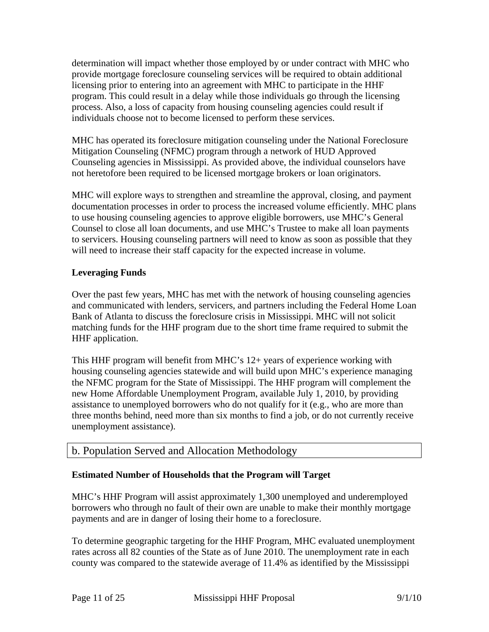determination will impact whether those employed by or under contract with MHC who provide mortgage foreclosure counseling services will be required to obtain additional licensing prior to entering into an agreement with MHC to participate in the HHF program. This could result in a delay while those individuals go through the licensing process. Also, a loss of capacity from housing counseling agencies could result if individuals choose not to become licensed to perform these services.

MHC has operated its foreclosure mitigation counseling under the National Foreclosure Mitigation Counseling (NFMC) program through a network of HUD Approved Counseling agencies in Mississippi. As provided above, the individual counselors have not heretofore been required to be licensed mortgage brokers or loan originators.

MHC will explore ways to strengthen and streamline the approval, closing, and payment documentation processes in order to process the increased volume efficiently. MHC plans to use housing counseling agencies to approve eligible borrowers, use MHC's General Counsel to close all loan documents, and use MHC's Trustee to make all loan payments to servicers. Housing counseling partners will need to know as soon as possible that they will need to increase their staff capacity for the expected increase in volume.

## **Leveraging Funds**

Over the past few years, MHC has met with the network of housing counseling agencies and communicated with lenders, servicers, and partners including the Federal Home Loan Bank of Atlanta to discuss the foreclosure crisis in Mississippi. MHC will not solicit matching funds for the HHF program due to the short time frame required to submit the HHF application.

This HHF program will benefit from MHC's 12+ years of experience working with housing counseling agencies statewide and will build upon MHC's experience managing the NFMC program for the State of Mississippi. The HHF program will complement the new Home Affordable Unemployment Program, available July 1, 2010, by providing assistance to unemployed borrowers who do not qualify for it (e.g., who are more than three months behind, need more than six months to find a job, or do not currently receive unemployment assistance).

## b. Population Served and Allocation Methodology

### **Estimated Number of Households that the Program will Target**

MHC's HHF Program will assist approximately 1,300 unemployed and underemployed borrowers who through no fault of their own are unable to make their monthly mortgage payments and are in danger of losing their home to a foreclosure.

To determine geographic targeting for the HHF Program, MHC evaluated unemployment rates across all 82 counties of the State as of June 2010. The unemployment rate in each county was compared to the statewide average of 11.4% as identified by the Mississippi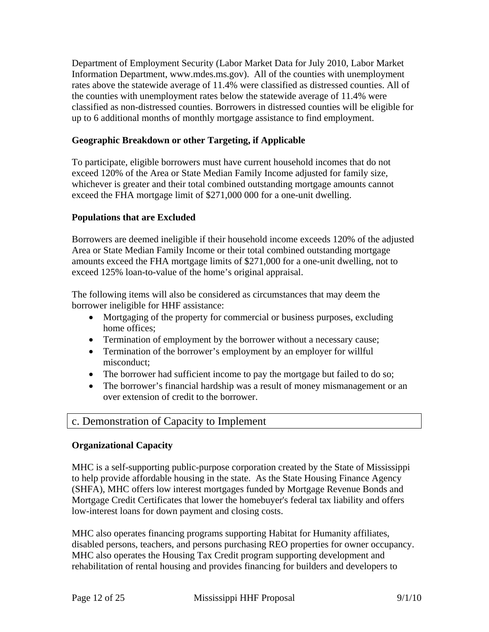Department of Employment Security (Labor Market Data for July 2010, Labor Market Information Department, www.mdes.ms.gov). All of the counties with unemployment rates above the statewide average of 11.4% were classified as distressed counties. All of the counties with unemployment rates below the statewide average of 11.4% were classified as non-distressed counties. Borrowers in distressed counties will be eligible for up to 6 additional months of monthly mortgage assistance to find employment.

### **Geographic Breakdown or other Targeting, if Applicable**

To participate, eligible borrowers must have current household incomes that do not exceed 120% of the Area or State Median Family Income adjusted for family size, whichever is greater and their total combined outstanding mortgage amounts cannot exceed the FHA mortgage limit of \$271,000 000 for a one-unit dwelling.

#### **Populations that are Excluded**

Borrowers are deemed ineligible if their household income exceeds 120% of the adjusted Area or State Median Family Income or their total combined outstanding mortgage amounts exceed the FHA mortgage limits of \$271,000 for a one-unit dwelling, not to exceed 125% loan-to-value of the home's original appraisal.

The following items will also be considered as circumstances that may deem the borrower ineligible for HHF assistance:

- Mortgaging of the property for commercial or business purposes, excluding home offices;
- Termination of employment by the borrower without a necessary cause;
- Termination of the borrower's employment by an employer for willful misconduct;
- The borrower had sufficient income to pay the mortgage but failed to do so;
- The borrower's financial hardship was a result of money mismanagement or an over extension of credit to the borrower.

## c. Demonstration of Capacity to Implement

#### **Organizational Capacity**

MHC is a self-supporting public-purpose corporation created by the State of Mississippi to help provide affordable housing in the state. As the State Housing Finance Agency (SHFA), MHC offers low interest mortgages funded by Mortgage Revenue Bonds and Mortgage Credit Certificates that lower the homebuyer's federal tax liability and offers low-interest loans for down payment and closing costs.

MHC also operates financing programs supporting Habitat for Humanity affiliates, disabled persons, teachers, and persons purchasing REO properties for owner occupancy. MHC also operates the Housing Tax Credit program supporting development and rehabilitation of rental housing and provides financing for builders and developers to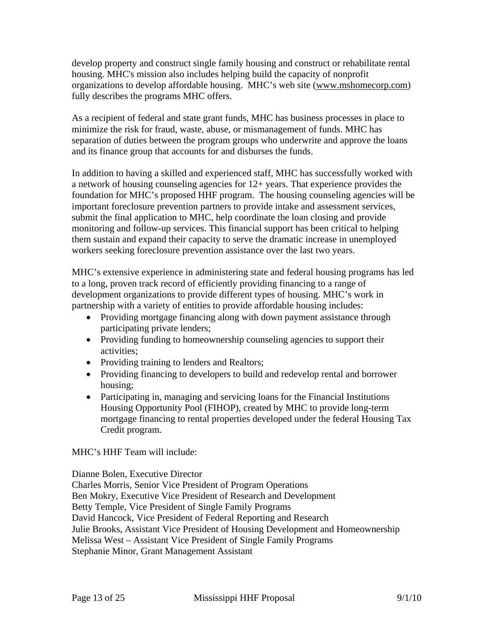develop property and construct single family housing and construct or rehabilitate rental housing. MHC's mission also includes helping build the capacity of nonprofit organizations to develop affordable housing. MHC's web site (www.mshomecorp.com) fully describes the programs MHC offers.

As a recipient of federal and state grant funds, MHC has business processes in place to minimize the risk for fraud, waste, abuse, or mismanagement of funds. MHC has separation of duties between the program groups who underwrite and approve the loans and its finance group that accounts for and disburses the funds.

In addition to having a skilled and experienced staff, MHC has successfully worked with a network of housing counseling agencies for 12+ years. That experience provides the foundation for MHC's proposed HHF program. The housing counseling agencies will be important foreclosure prevention partners to provide intake and assessment services, submit the final application to MHC, help coordinate the loan closing and provide monitoring and follow-up services. This financial support has been critical to helping them sustain and expand their capacity to serve the dramatic increase in unemployed workers seeking foreclosure prevention assistance over the last two years.

MHC's extensive experience in administering state and federal housing programs has led to a long, proven track record of efficiently providing financing to a range of development organizations to provide different types of housing. MHC's work in partnership with a variety of entities to provide affordable housing includes:

- Providing mortgage financing along with down payment assistance through participating private lenders;
- Providing funding to homeownership counseling agencies to support their activities;
- Providing training to lenders and Realtors;
- Providing financing to developers to build and redevelop rental and borrower housing;
- Participating in, managing and servicing loans for the Financial Institutions Housing Opportunity Pool (FIHOP), created by MHC to provide long-term mortgage financing to rental properties developed under the federal Housing Tax Credit program.

MHC's HHF Team will include:

Dianne Bolen, Executive Director

Charles Morris, Senior Vice President of Program Operations Ben Mokry, Executive Vice President of Research and Development Betty Temple, Vice President of Single Family Programs David Hancock, Vice President of Federal Reporting and Research Julie Brooks, Assistant Vice President of Housing Development and Homeownership Melissa West – Assistant Vice President of Single Family Programs Stephanie Minor, Grant Management Assistant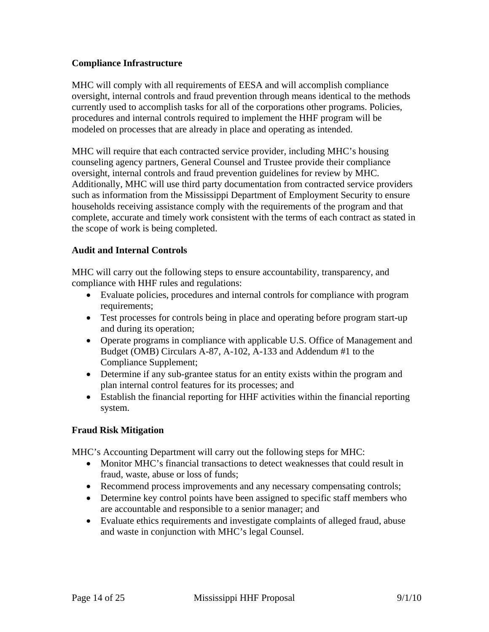## **Compliance Infrastructure**

MHC will comply with all requirements of EESA and will accomplish compliance oversight, internal controls and fraud prevention through means identical to the methods currently used to accomplish tasks for all of the corporations other programs. Policies, procedures and internal controls required to implement the HHF program will be modeled on processes that are already in place and operating as intended.

MHC will require that each contracted service provider, including MHC's housing counseling agency partners, General Counsel and Trustee provide their compliance oversight, internal controls and fraud prevention guidelines for review by MHC. Additionally, MHC will use third party documentation from contracted service providers such as information from the Mississippi Department of Employment Security to ensure households receiving assistance comply with the requirements of the program and that complete, accurate and timely work consistent with the terms of each contract as stated in the scope of work is being completed.

### **Audit and Internal Controls**

MHC will carry out the following steps to ensure accountability, transparency, and compliance with HHF rules and regulations:

- Evaluate policies, procedures and internal controls for compliance with program requirements;
- Test processes for controls being in place and operating before program start-up and during its operation;
- Operate programs in compliance with applicable U.S. Office of Management and Budget (OMB) Circulars A-87, A-102, A-133 and Addendum #1 to the Compliance Supplement;
- Determine if any sub-grantee status for an entity exists within the program and plan internal control features for its processes; and
- Establish the financial reporting for HHF activities within the financial reporting system.

### **Fraud Risk Mitigation**

MHC's Accounting Department will carry out the following steps for MHC:

- Monitor MHC's financial transactions to detect weaknesses that could result in fraud, waste, abuse or loss of funds;
- Recommend process improvements and any necessary compensating controls;
- Determine key control points have been assigned to specific staff members who are accountable and responsible to a senior manager; and
- Evaluate ethics requirements and investigate complaints of alleged fraud, abuse and waste in conjunction with MHC's legal Counsel.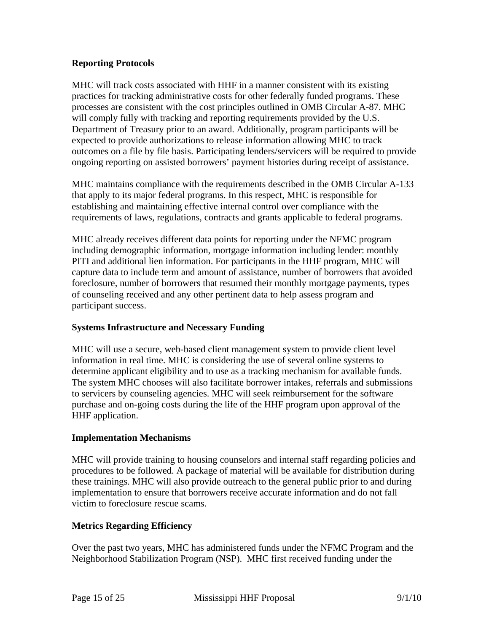### **Reporting Protocols**

MHC will track costs associated with HHF in a manner consistent with its existing practices for tracking administrative costs for other federally funded programs. These processes are consistent with the cost principles outlined in OMB Circular A-87. MHC will comply fully with tracking and reporting requirements provided by the U.S. Department of Treasury prior to an award. Additionally, program participants will be expected to provide authorizations to release information allowing MHC to track outcomes on a file by file basis. Participating lenders/servicers will be required to provide ongoing reporting on assisted borrowers' payment histories during receipt of assistance.

MHC maintains compliance with the requirements described in the OMB Circular A-133 that apply to its major federal programs. In this respect, MHC is responsible for establishing and maintaining effective internal control over compliance with the requirements of laws, regulations, contracts and grants applicable to federal programs.

MHC already receives different data points for reporting under the NFMC program including demographic information, mortgage information including lender: monthly PITI and additional lien information. For participants in the HHF program, MHC will capture data to include term and amount of assistance, number of borrowers that avoided foreclosure, number of borrowers that resumed their monthly mortgage payments, types of counseling received and any other pertinent data to help assess program and participant success.

### **Systems Infrastructure and Necessary Funding**

MHC will use a secure, web-based client management system to provide client level information in real time. MHC is considering the use of several online systems to determine applicant eligibility and to use as a tracking mechanism for available funds. The system MHC chooses will also facilitate borrower intakes, referrals and submissions to servicers by counseling agencies. MHC will seek reimbursement for the software purchase and on-going costs during the life of the HHF program upon approval of the HHF application.

### **Implementation Mechanisms**

MHC will provide training to housing counselors and internal staff regarding policies and procedures to be followed. A package of material will be available for distribution during these trainings. MHC will also provide outreach to the general public prior to and during implementation to ensure that borrowers receive accurate information and do not fall victim to foreclosure rescue scams.

### **Metrics Regarding Efficiency**

Over the past two years, MHC has administered funds under the NFMC Program and the Neighborhood Stabilization Program (NSP). MHC first received funding under the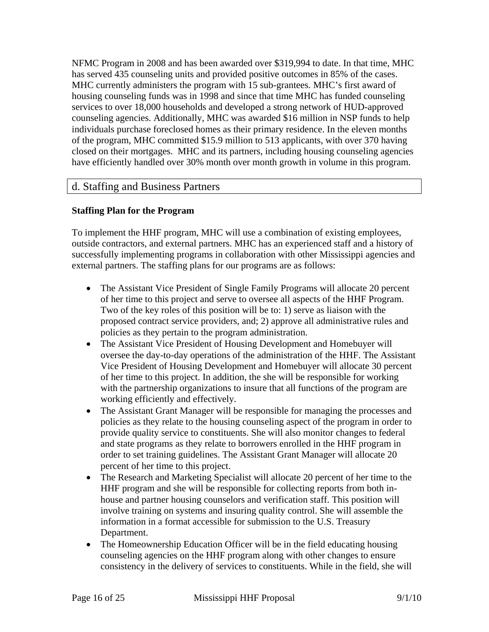NFMC Program in 2008 and has been awarded over \$319,994 to date. In that time, MHC has served 435 counseling units and provided positive outcomes in 85% of the cases. MHC currently administers the program with 15 sub-grantees. MHC's first award of housing counseling funds was in 1998 and since that time MHC has funded counseling services to over 18,000 households and developed a strong network of HUD-approved counseling agencies. Additionally, MHC was awarded \$16 million in NSP funds to help individuals purchase foreclosed homes as their primary residence. In the eleven months of the program, MHC committed \$15.9 million to 513 applicants, with over 370 having closed on their mortgages. MHC and its partners, including housing counseling agencies have efficiently handled over 30% month over month growth in volume in this program.

## d. Staffing and Business Partners

## **Staffing Plan for the Program**

To implement the HHF program, MHC will use a combination of existing employees, outside contractors, and external partners. MHC has an experienced staff and a history of successfully implementing programs in collaboration with other Mississippi agencies and external partners. The staffing plans for our programs are as follows:

- The Assistant Vice President of Single Family Programs will allocate 20 percent of her time to this project and serve to oversee all aspects of the HHF Program. Two of the key roles of this position will be to: 1) serve as liaison with the proposed contract service providers, and; 2) approve all administrative rules and policies as they pertain to the program administration.
- The Assistant Vice President of Housing Development and Homebuyer will oversee the day-to-day operations of the administration of the HHF. The Assistant Vice President of Housing Development and Homebuyer will allocate 30 percent of her time to this project. In addition, the she will be responsible for working with the partnership organizations to insure that all functions of the program are working efficiently and effectively.
- The Assistant Grant Manager will be responsible for managing the processes and policies as they relate to the housing counseling aspect of the program in order to provide quality service to constituents. She will also monitor changes to federal and state programs as they relate to borrowers enrolled in the HHF program in order to set training guidelines. The Assistant Grant Manager will allocate 20 percent of her time to this project.
- The Research and Marketing Specialist will allocate 20 percent of her time to the HHF program and she will be responsible for collecting reports from both inhouse and partner housing counselors and verification staff. This position will involve training on systems and insuring quality control. She will assemble the information in a format accessible for submission to the U.S. Treasury Department.
- The Homeownership Education Officer will be in the field educating housing counseling agencies on the HHF program along with other changes to ensure consistency in the delivery of services to constituents. While in the field, she will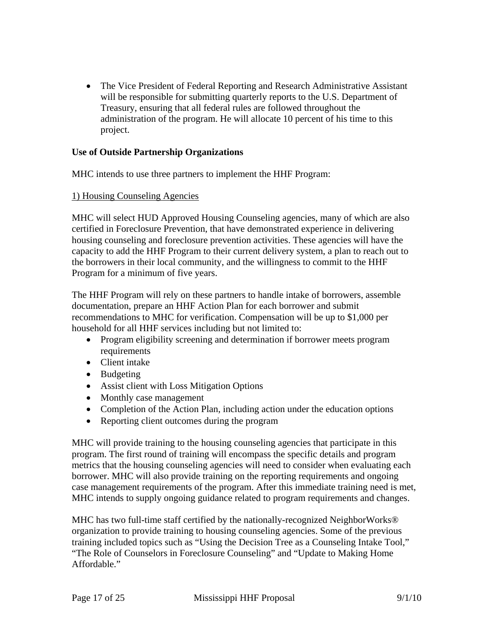• The Vice President of Federal Reporting and Research Administrative Assistant will be responsible for submitting quarterly reports to the U.S. Department of Treasury, ensuring that all federal rules are followed throughout the administration of the program. He will allocate 10 percent of his time to this project.

#### **Use of Outside Partnership Organizations**

MHC intends to use three partners to implement the HHF Program:

#### 1) Housing Counseling Agencies

MHC will select HUD Approved Housing Counseling agencies, many of which are also certified in Foreclosure Prevention, that have demonstrated experience in delivering housing counseling and foreclosure prevention activities. These agencies will have the capacity to add the HHF Program to their current delivery system, a plan to reach out to the borrowers in their local community, and the willingness to commit to the HHF Program for a minimum of five years.

The HHF Program will rely on these partners to handle intake of borrowers, assemble documentation, prepare an HHF Action Plan for each borrower and submit recommendations to MHC for verification. Compensation will be up to \$1,000 per household for all HHF services including but not limited to:

- Program eligibility screening and determination if borrower meets program requirements
- Client intake
- Budgeting
- Assist client with Loss Mitigation Options
- Monthly case management
- Completion of the Action Plan, including action under the education options
- Reporting client outcomes during the program

MHC will provide training to the housing counseling agencies that participate in this program. The first round of training will encompass the specific details and program metrics that the housing counseling agencies will need to consider when evaluating each borrower. MHC will also provide training on the reporting requirements and ongoing case management requirements of the program. After this immediate training need is met, MHC intends to supply ongoing guidance related to program requirements and changes.

MHC has two full-time staff certified by the nationally-recognized NeighborWorks® organization to provide training to housing counseling agencies. Some of the previous training included topics such as "Using the Decision Tree as a Counseling Intake Tool," "The Role of Counselors in Foreclosure Counseling" and "Update to Making Home Affordable."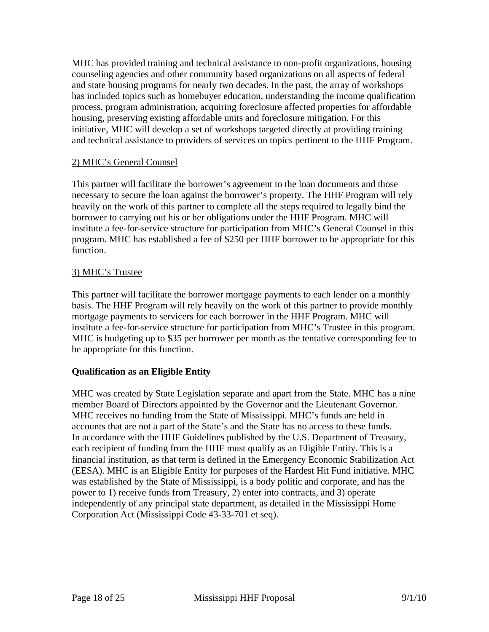MHC has provided training and technical assistance to non-profit organizations, housing counseling agencies and other community based organizations on all aspects of federal and state housing programs for nearly two decades. In the past, the array of workshops has included topics such as homebuyer education, understanding the income qualification process, program administration, acquiring foreclosure affected properties for affordable housing, preserving existing affordable units and foreclosure mitigation. For this initiative, MHC will develop a set of workshops targeted directly at providing training and technical assistance to providers of services on topics pertinent to the HHF Program.

#### 2) MHC's General Counsel

This partner will facilitate the borrower's agreement to the loan documents and those necessary to secure the loan against the borrower's property. The HHF Program will rely heavily on the work of this partner to complete all the steps required to legally bind the borrower to carrying out his or her obligations under the HHF Program. MHC will institute a fee-for-service structure for participation from MHC's General Counsel in this program. MHC has established a fee of \$250 per HHF borrower to be appropriate for this function.

#### 3) MHC's Trustee

This partner will facilitate the borrower mortgage payments to each lender on a monthly basis. The HHF Program will rely heavily on the work of this partner to provide monthly mortgage payments to servicers for each borrower in the HHF Program. MHC will institute a fee-for-service structure for participation from MHC's Trustee in this program. MHC is budgeting up to \$35 per borrower per month as the tentative corresponding fee to be appropriate for this function.

### **Qualification as an Eligible Entity**

MHC was created by State Legislation separate and apart from the State. MHC has a nine member Board of Directors appointed by the Governor and the Lieutenant Governor. MHC receives no funding from the State of Mississippi. MHC's funds are held in accounts that are not a part of the State's and the State has no access to these funds. In accordance with the HHF Guidelines published by the U.S. Department of Treasury, each recipient of funding from the HHF must qualify as an Eligible Entity. This is a financial institution, as that term is defined in the Emergency Economic Stabilization Act (EESA). MHC is an Eligible Entity for purposes of the Hardest Hit Fund initiative. MHC was established by the State of Mississippi, is a body politic and corporate, and has the power to 1) receive funds from Treasury, 2) enter into contracts, and 3) operate independently of any principal state department, as detailed in the Mississippi Home Corporation Act (Mississippi Code 43-33-701 et seq).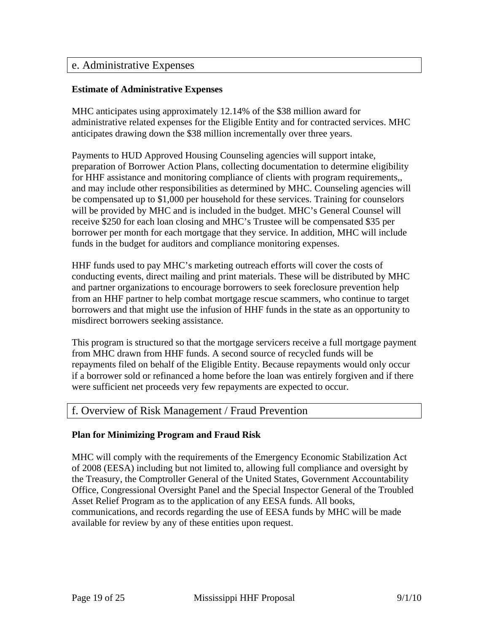## e. Administrative Expenses

#### **Estimate of Administrative Expenses**

MHC anticipates using approximately 12.14% of the \$38 million award for administrative related expenses for the Eligible Entity and for contracted services. MHC anticipates drawing down the \$38 million incrementally over three years.

Payments to HUD Approved Housing Counseling agencies will support intake, preparation of Borrower Action Plans, collecting documentation to determine eligibility for HHF assistance and monitoring compliance of clients with program requirements,, and may include other responsibilities as determined by MHC. Counseling agencies will be compensated up to \$1,000 per household for these services. Training for counselors will be provided by MHC and is included in the budget. MHC's General Counsel will receive \$250 for each loan closing and MHC's Trustee will be compensated \$35 per borrower per month for each mortgage that they service. In addition, MHC will include funds in the budget for auditors and compliance monitoring expenses.

HHF funds used to pay MHC's marketing outreach efforts will cover the costs of conducting events, direct mailing and print materials. These will be distributed by MHC and partner organizations to encourage borrowers to seek foreclosure prevention help from an HHF partner to help combat mortgage rescue scammers, who continue to target borrowers and that might use the infusion of HHF funds in the state as an opportunity to misdirect borrowers seeking assistance.

This program is structured so that the mortgage servicers receive a full mortgage payment from MHC drawn from HHF funds. A second source of recycled funds will be repayments filed on behalf of the Eligible Entity. Because repayments would only occur if a borrower sold or refinanced a home before the loan was entirely forgiven and if there were sufficient net proceeds very few repayments are expected to occur.

### f. Overview of Risk Management / Fraud Prevention

#### **Plan for Minimizing Program and Fraud Risk**

MHC will comply with the requirements of the Emergency Economic Stabilization Act of 2008 (EESA) including but not limited to, allowing full compliance and oversight by the Treasury, the Comptroller General of the United States, Government Accountability Office, Congressional Oversight Panel and the Special Inspector General of the Troubled Asset Relief Program as to the application of any EESA funds. All books, communications, and records regarding the use of EESA funds by MHC will be made available for review by any of these entities upon request.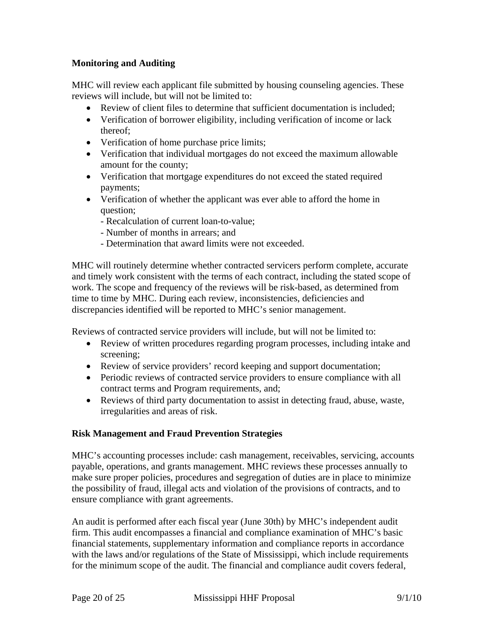## **Monitoring and Auditing**

MHC will review each applicant file submitted by housing counseling agencies. These reviews will include, but will not be limited to:

- Review of client files to determine that sufficient documentation is included;
- Verification of borrower eligibility, including verification of income or lack thereof;
- Verification of home purchase price limits;
- Verification that individual mortgages do not exceed the maximum allowable amount for the county;
- Verification that mortgage expenditures do not exceed the stated required payments;
- Verification of whether the applicant was ever able to afford the home in question;
	- Recalculation of current loan-to-value;
	- Number of months in arrears; and
	- Determination that award limits were not exceeded.

MHC will routinely determine whether contracted servicers perform complete, accurate and timely work consistent with the terms of each contract, including the stated scope of work. The scope and frequency of the reviews will be risk-based, as determined from time to time by MHC. During each review, inconsistencies, deficiencies and discrepancies identified will be reported to MHC's senior management.

Reviews of contracted service providers will include, but will not be limited to:

- Review of written procedures regarding program processes, including intake and screening;
- Review of service providers' record keeping and support documentation;
- Periodic reviews of contracted service providers to ensure compliance with all contract terms and Program requirements, and;
- Reviews of third party documentation to assist in detecting fraud, abuse, waste, irregularities and areas of risk.

### **Risk Management and Fraud Prevention Strategies**

MHC's accounting processes include: cash management, receivables, servicing, accounts payable, operations, and grants management. MHC reviews these processes annually to make sure proper policies, procedures and segregation of duties are in place to minimize the possibility of fraud, illegal acts and violation of the provisions of contracts, and to ensure compliance with grant agreements.

An audit is performed after each fiscal year (June 30th) by MHC's independent audit firm. This audit encompasses a financial and compliance examination of MHC's basic financial statements, supplementary information and compliance reports in accordance with the laws and/or regulations of the State of Mississippi, which include requirements for the minimum scope of the audit. The financial and compliance audit covers federal,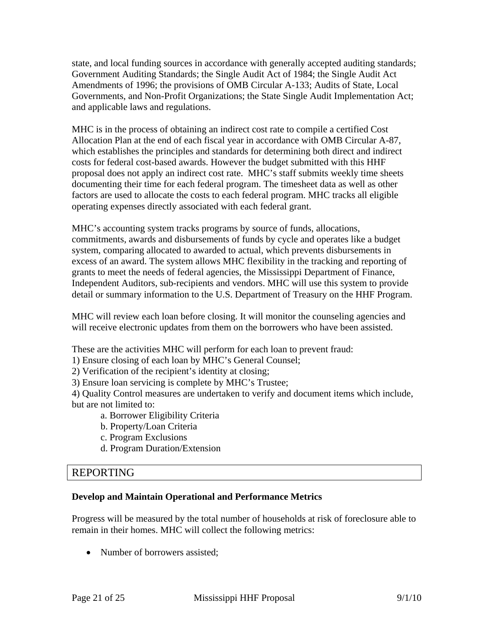state, and local funding sources in accordance with generally accepted auditing standards; Government Auditing Standards; the Single Audit Act of 1984; the Single Audit Act Amendments of 1996; the provisions of OMB Circular A-133; Audits of State, Local Governments, and Non-Profit Organizations; the State Single Audit Implementation Act; and applicable laws and regulations.

MHC is in the process of obtaining an indirect cost rate to compile a certified Cost Allocation Plan at the end of each fiscal year in accordance with OMB Circular A-87, which establishes the principles and standards for determining both direct and indirect costs for federal cost-based awards. However the budget submitted with this HHF proposal does not apply an indirect cost rate. MHC's staff submits weekly time sheets documenting their time for each federal program. The timesheet data as well as other factors are used to allocate the costs to each federal program. MHC tracks all eligible operating expenses directly associated with each federal grant.

MHC's accounting system tracks programs by source of funds, allocations, commitments, awards and disbursements of funds by cycle and operates like a budget system, comparing allocated to awarded to actual, which prevents disbursements in excess of an award. The system allows MHC flexibility in the tracking and reporting of grants to meet the needs of federal agencies, the Mississippi Department of Finance, Independent Auditors, sub-recipients and vendors. MHC will use this system to provide detail or summary information to the U.S. Department of Treasury on the HHF Program.

MHC will review each loan before closing. It will monitor the counseling agencies and will receive electronic updates from them on the borrowers who have been assisted.

These are the activities MHC will perform for each loan to prevent fraud:

- 1) Ensure closing of each loan by MHC's General Counsel;
- 2) Verification of the recipient's identity at closing;
- 3) Ensure loan servicing is complete by MHC's Trustee;

4) Quality Control measures are undertaken to verify and document items which include, but are not limited to:

- a. Borrower Eligibility Criteria
- b. Property/Loan Criteria
- c. Program Exclusions
- d. Program Duration/Extension

## REPORTING

## **Develop and Maintain Operational and Performance Metrics**

Progress will be measured by the total number of households at risk of foreclosure able to remain in their homes. MHC will collect the following metrics:

• Number of borrowers assisted;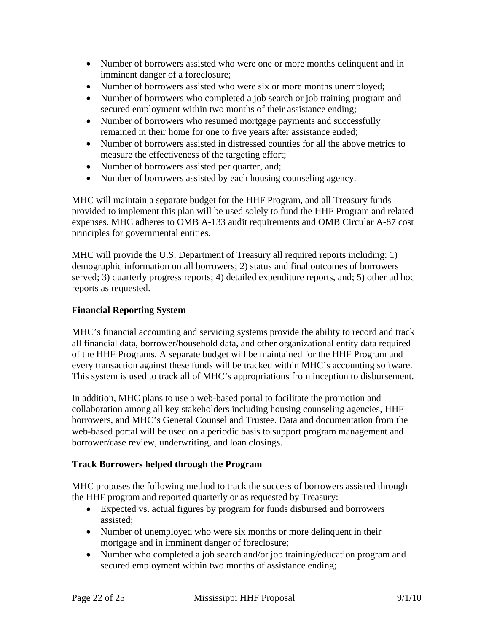- Number of borrowers assisted who were one or more months delinquent and in imminent danger of a foreclosure;
- Number of borrowers assisted who were six or more months unemployed;
- Number of borrowers who completed a job search or job training program and secured employment within two months of their assistance ending;
- Number of borrowers who resumed mortgage payments and successfully remained in their home for one to five years after assistance ended;
- Number of borrowers assisted in distressed counties for all the above metrics to measure the effectiveness of the targeting effort;
- Number of borrowers assisted per quarter, and;
- Number of borrowers assisted by each housing counseling agency.

MHC will maintain a separate budget for the HHF Program, and all Treasury funds provided to implement this plan will be used solely to fund the HHF Program and related expenses. MHC adheres to OMB A-133 audit requirements and OMB Circular A-87 cost principles for governmental entities.

MHC will provide the U.S. Department of Treasury all required reports including: 1) demographic information on all borrowers; 2) status and final outcomes of borrowers served; 3) quarterly progress reports; 4) detailed expenditure reports, and; 5) other ad hoc reports as requested.

## **Financial Reporting System**

MHC's financial accounting and servicing systems provide the ability to record and track all financial data, borrower/household data, and other organizational entity data required of the HHF Programs. A separate budget will be maintained for the HHF Program and every transaction against these funds will be tracked within MHC's accounting software. This system is used to track all of MHC's appropriations from inception to disbursement.

In addition, MHC plans to use a web-based portal to facilitate the promotion and collaboration among all key stakeholders including housing counseling agencies, HHF borrowers, and MHC's General Counsel and Trustee. Data and documentation from the web-based portal will be used on a periodic basis to support program management and borrower/case review, underwriting, and loan closings.

### **Track Borrowers helped through the Program**

MHC proposes the following method to track the success of borrowers assisted through the HHF program and reported quarterly or as requested by Treasury:

- Expected vs. actual figures by program for funds disbursed and borrowers assisted;
- Number of unemployed who were six months or more delinquent in their mortgage and in imminent danger of foreclosure;
- Number who completed a job search and/or job training/education program and secured employment within two months of assistance ending;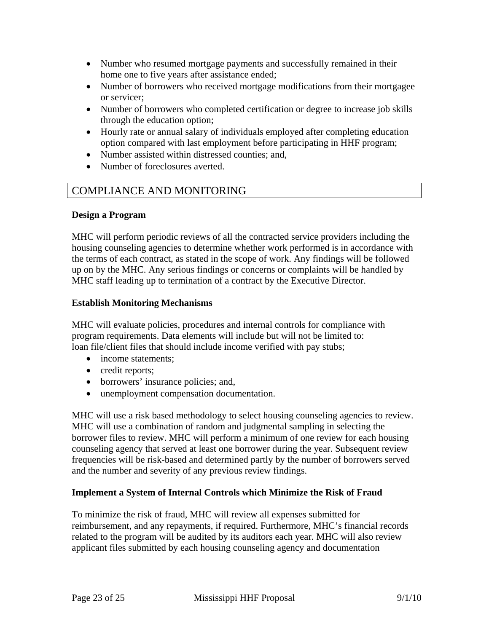- Number who resumed mortgage payments and successfully remained in their home one to five years after assistance ended;
- Number of borrowers who received mortgage modifications from their mortgagee or servicer;
- Number of borrowers who completed certification or degree to increase job skills through the education option;
- Hourly rate or annual salary of individuals employed after completing education option compared with last employment before participating in HHF program;
- Number assisted within distressed counties; and,
- Number of foreclosures averted.

## COMPLIANCE AND MONITORING

#### **Design a Program**

MHC will perform periodic reviews of all the contracted service providers including the housing counseling agencies to determine whether work performed is in accordance with the terms of each contract, as stated in the scope of work. Any findings will be followed up on by the MHC. Any serious findings or concerns or complaints will be handled by MHC staff leading up to termination of a contract by the Executive Director.

#### **Establish Monitoring Mechanisms**

MHC will evaluate policies, procedures and internal controls for compliance with program requirements. Data elements will include but will not be limited to: loan file/client files that should include income verified with pay stubs;

- income statements:
- credit reports;
- borrowers' insurance policies; and,
- unemployment compensation documentation.

MHC will use a risk based methodology to select housing counseling agencies to review. MHC will use a combination of random and judgmental sampling in selecting the borrower files to review. MHC will perform a minimum of one review for each housing counseling agency that served at least one borrower during the year. Subsequent review frequencies will be risk-based and determined partly by the number of borrowers served and the number and severity of any previous review findings.

#### **Implement a System of Internal Controls which Minimize the Risk of Fraud**

To minimize the risk of fraud, MHC will review all expenses submitted for reimbursement, and any repayments, if required. Furthermore, MHC's financial records related to the program will be audited by its auditors each year. MHC will also review applicant files submitted by each housing counseling agency and documentation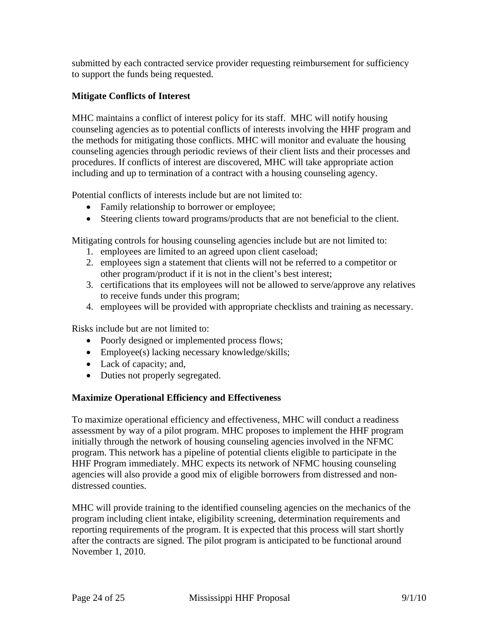submitted by each contracted service provider requesting reimbursement for sufficiency to support the funds being requested.

## **Mitigate Conflicts of Interest**

MHC maintains a conflict of interest policy for its staff. MHC will notify housing counseling agencies as to potential conflicts of interests involving the HHF program and the methods for mitigating those conflicts. MHC will monitor and evaluate the housing counseling agencies through periodic reviews of their client lists and their processes and procedures. If conflicts of interest are discovered, MHC will take appropriate action including and up to termination of a contract with a housing counseling agency.

Potential conflicts of interests include but are not limited to:

- Family relationship to borrower or employee;
- Steering clients toward programs/products that are not beneficial to the client.

Mitigating controls for housing counseling agencies include but are not limited to:

- 1. employees are limited to an agreed upon client caseload;
- 2. employees sign a statement that clients will not be referred to a competitor or other program/product if it is not in the client's best interest;
- 3. certifications that its employees will not be allowed to serve/approve any relatives to receive funds under this program;
- 4. employees will be provided with appropriate checklists and training as necessary.

Risks include but are not limited to:

- Poorly designed or implemented process flows;
- Employee(s) lacking necessary knowledge/skills;
- Lack of capacity; and,
- Duties not properly segregated.

### **Maximize Operational Efficiency and Effectiveness**

To maximize operational efficiency and effectiveness, MHC will conduct a readiness assessment by way of a pilot program. MHC proposes to implement the HHF program initially through the network of housing counseling agencies involved in the NFMC program. This network has a pipeline of potential clients eligible to participate in the HHF Program immediately. MHC expects its network of NFMC housing counseling agencies will also provide a good mix of eligible borrowers from distressed and nondistressed counties.

MHC will provide training to the identified counseling agencies on the mechanics of the program including client intake, eligibility screening, determination requirements and reporting requirements of the program. It is expected that this process will start shortly after the contracts are signed. The pilot program is anticipated to be functional around November 1, 2010.